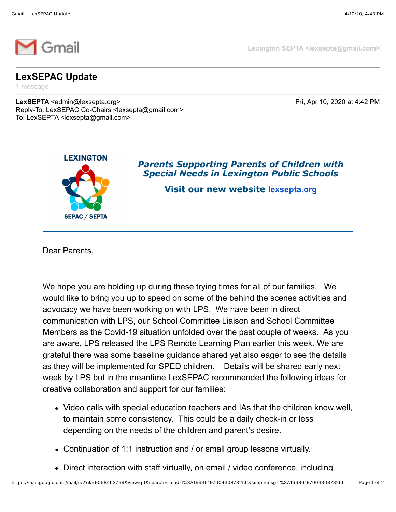

**Lexington SEPTA <lexsepta@gmail.com>**

## **LexSEPAC Update**

1 message

**LexSEPTA** <admin@lexsepta.org> Fri, Apr 10, 2020 at 4:42 PM Reply-To: LexSEPAC Co-Chairs <lexsepta@gmail.com> To: LexSEPTA <lexsepta@gmail.com>



*Parents Supporting Parents of Children with Special Needs in Lexington Public Schools*

**Visit our new website [lexsepta.org](https://lexsepta.org/EmailTracker/LinkTracker.ashx?linkAndRecipientCode=WLwFRjjMAauj4nsMBcPIYnW0l%2f06SrSuIdK7jAB1zNnEnZzmmKLmKBAv0zwD%2bpNl73vDD2b52i66YORZbaMrCNAcSipSQYyn5ZSxtl5Wh3E%3d)**

Dear Parents,

We hope you are holding up during these trying times for all of our families. We would like to bring you up to speed on some of the behind the scenes activities and advocacy we have been working on with LPS. We have been in direct communication with LPS, our School Committee Liaison and School Committee Members as the Covid-19 situation unfolded over the past couple of weeks. As you are aware, LPS released the LPS Remote Learning Plan earlier this week. We are grateful there was some baseline guidance shared yet also eager to see the details as they will be implemented for SPED children. Details will be shared early next week by LPS but in the meantime LexSEPAC recommended the following ideas for creative collaboration and support for our families:

- Video calls with special education teachers and IAs that the children know well, to maintain some consistency. This could be a daily check-in or less depending on the needs of the children and parent's desire.
- Continuation of 1:1 instruction and / or small group lessons virtually.
- Direct interaction with staff virtually, on email / video conference, including